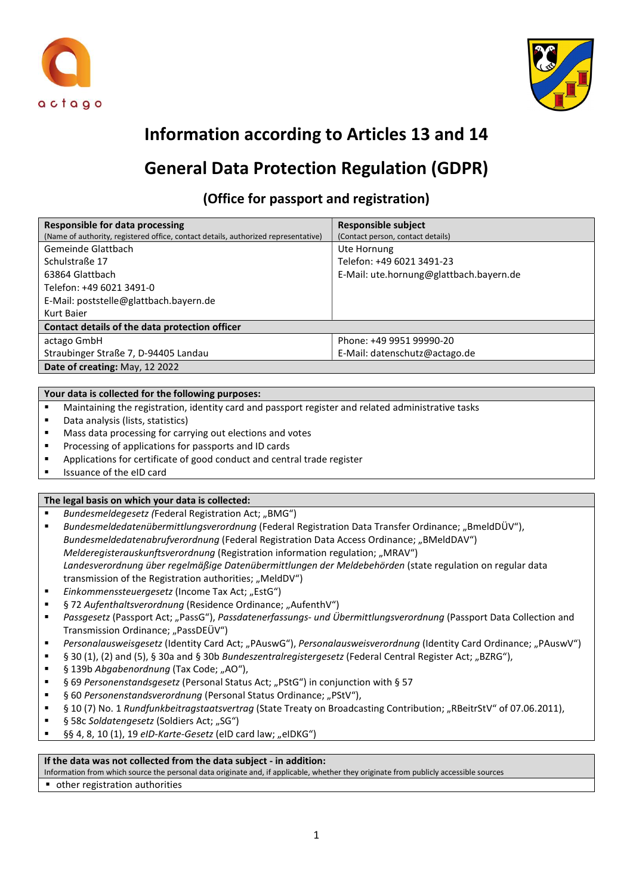



# Information according to Articles 13 and 14

# General Data Protection Regulation (GDPR)

## (Office for passport and registration)

| <b>Responsible for data processing</b>                                             | <b>Responsible subject</b>              |
|------------------------------------------------------------------------------------|-----------------------------------------|
| (Name of authority, registered office, contact details, authorized representative) | (Contact person, contact details)       |
| Gemeinde Glattbach                                                                 | Ute Hornung                             |
| Schulstraße 17                                                                     | Telefon: +49 6021 3491-23               |
| 63864 Glattbach                                                                    | E-Mail: ute.hornung@glattbach.bayern.de |
| Telefon: +49 6021 3491-0                                                           |                                         |
| E-Mail: poststelle@glattbach.bayern.de                                             |                                         |
| Kurt Baier                                                                         |                                         |
| Contact details of the data protection officer                                     |                                         |
| actago GmbH                                                                        | Phone: +49 9951 99990-20                |
| Straubinger Straße 7, D-94405 Landau                                               | E-Mail: datenschutz@actago.de           |
| Date of creating: May, 12 2022                                                     |                                         |

### Your data is collected for the following purposes:

- Maintaining the registration, identity card and passport register and related administrative tasks
- Data analysis (lists, statistics)
- Mass data processing for carrying out elections and votes
- **Processing of applications for passports and ID cards**
- Applications for certificate of good conduct and central trade register
- **In Itsuance of the eID card**

### The legal basis on which your data is collected:

- Bundesmeldegesetz (Federal Registration Act; "BMG")
- Bundesmeldedatenübermittlungsverordnung (Federal Registration Data Transfer Ordinance; "BmeldDÜV"), Bundesmeldedatenabrufverordnung (Federal Registration Data Access Ordinance; "BMeldDAV") Melderegisterauskunftsverordnung (Registration information regulation; "MRAV") Landesverordnung über regelmäßige Datenübermittlungen der Meldebehörden (state regulation on regular data transmission of the Registration authorities; "MeldDV")
- Einkommenssteuergesetz (Income Tax Act; "EstG")
- § 72 Aufenthaltsverordnung (Residence Ordinance; "AufenthV")
- Passgesetz (Passport Act; "PassG"), Passdatenerfassungs- und Übermittlungsverordnung (Passport Data Collection and Transmission Ordinance; "PassDEÜV")
- Personalausweisgesetz (Identity Card Act; "PAuswG"), Personalausweisverordnung (Identity Card Ordinance; "PAuswV")
- § 30 (1), (2) and (5), § 30a and § 30b Bundeszentralregistergesetz (Federal Central Register Act; "BZRG"),
- § 139b Abgabenordnung (Tax Code; "AO"),
- § 69 Personenstandsgesetz (Personal Status Act: "PStG") in conjunction with § 57
- § 60 Personenstandsverordnung (Personal Status Ordinance; "PStV"),
- § 10 (7) No. 1 Rundfunkbeitragstaatsvertrag (State Treaty on Broadcasting Contribution; "RBeitrStV" of 07.06.2011),
- § 58c Soldatengesetz (Soldiers Act; "SG")
- §§ 4, 8, 10 (1), 19 eID-Karte-Gesetz (eID card law; "eIDKG")

#### If the data was not collected from the data subject - in addition:

Information from which source the personal data originate and, if applicable, whether they originate from publicly accessible sources

other registration authorities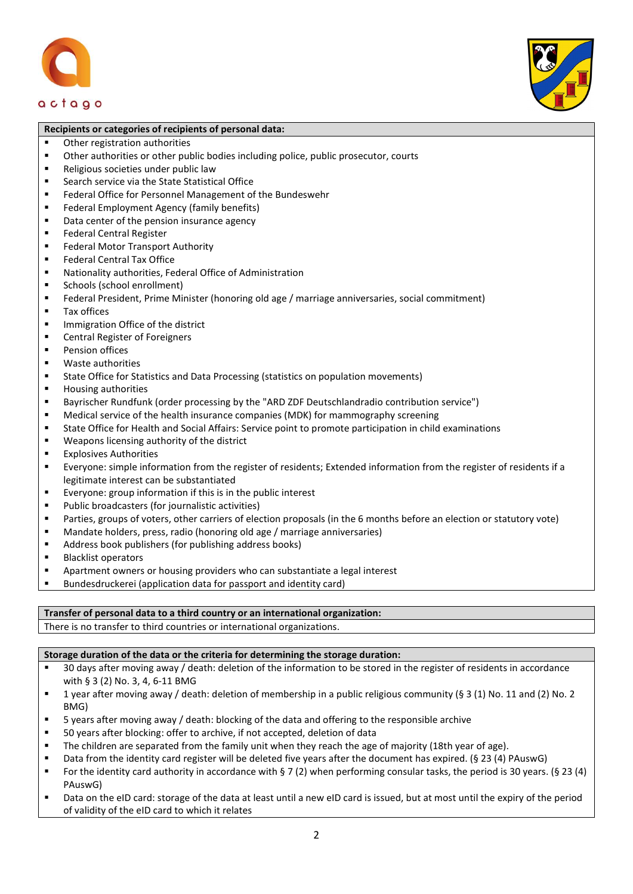actago



#### Recipients or categories of recipients of personal data:

- Other registration authorities
- Other authorities or other public bodies including police, public prosecutor, courts
- **Religious societies under public law**
- Search service via the State Statistical Office
- **Federal Office for Personnel Management of the Bundeswehr**
- **Federal Employment Agency (family benefits)**
- Data center of the pension insurance agency
- **Federal Central Register**
- **Federal Motor Transport Authority**
- Federal Central Tax Office
- Nationality authorities, Federal Office of Administration
- **Schools (school enrollment)**
- Federal President, Prime Minister (honoring old age / marriage anniversaries, social commitment)
- **Tax offices**
- **Immigration Office of the district**
- Central Register of Foreigners
- **Pension offices**
- Waste authorities
- State Office for Statistics and Data Processing (statistics on population movements)
- **Housing authorities**
- Bayrischer Rundfunk (order processing by the "ARD ZDF Deutschlandradio contribution service")
- Medical service of the health insurance companies (MDK) for mammography screening
- State Office for Health and Social Affairs: Service point to promote participation in child examinations
- Weapons licensing authority of the district
- **Explosives Authorities**
- Everyone: simple information from the register of residents; Extended information from the register of residents if a legitimate interest can be substantiated
- Everyone: group information if this is in the public interest
- Public broadcasters (for journalistic activities)
- Parties, groups of voters, other carriers of election proposals (in the 6 months before an election or statutory vote)
- Mandate holders, press, radio (honoring old age / marriage anniversaries)
- Address book publishers (for publishing address books)
- **Blacklist operators**
- Apartment owners or housing providers who can substantiate a legal interest
- Bundesdruckerei (application data for passport and identity card)

#### Transfer of personal data to a third country or an international organization:

There is no transfer to third countries or international organizations.

#### Storage duration of the data or the criteria for determining the storage duration:

- 30 days after moving away / death: deletion of the information to be stored in the register of residents in accordance with § 3 (2) No. 3, 4, 6-11 BMG
- **1** year after moving away / death: deletion of membership in a public religious community (§ 3 (1) No. 11 and (2) No. 2 BMG)
- 5 years after moving away / death: blocking of the data and offering to the responsible archive
- 50 years after blocking: offer to archive, if not accepted, deletion of data
- The children are separated from the family unit when they reach the age of majority (18th year of age).
- Data from the identity card register will be deleted five years after the document has expired. (§ 23 (4) PAuswG)
- For the identity card authority in accordance with § 7 (2) when performing consular tasks, the period is 30 years. (§ 23 (4) PAuswG)
- Data on the eID card: storage of the data at least until a new eID card is issued, but at most until the expiry of the period of validity of the eID card to which it relates